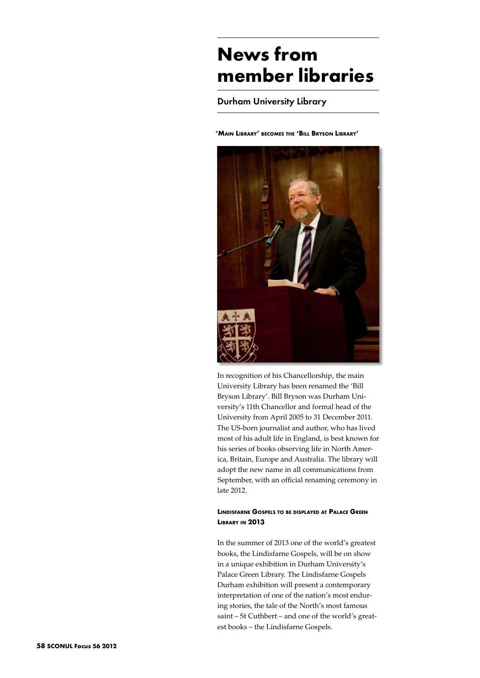# **News from member libraries**

Durham University Library

**'Main Library' becomes the 'Bill Bryson Library'** 



In recognition of his Chancellorship, the main University Library has been renamed the 'Bill Bryson Library'. Bill Bryson was Durham University's 11th Chancellor and formal head of the University from April 2005 to 31 December 2011. The US-born journalist and author, who has lived most of his adult life in England, is best known for his series of books observing life in North America, Britain, Europe and Australia. The library will adopt the new name in all communications from September, with an official renaming ceremony in late 2012.

# **Lindisfarne Gospels to be displayed at Palace Green Library in 2013**

In the summer of 2013 one of the world's greatest books, the Lindisfarne Gospels, will be on show in a unique exhibition in Durham University's Palace Green Library. The Lindisfarne Gospels Durham exhibition will present a contemporary interpretation of one of the nation's most enduring stories, the tale of the North's most famous saint – St Cuthbert – and one of the world's greatest books – the Lindisfarne Gospels.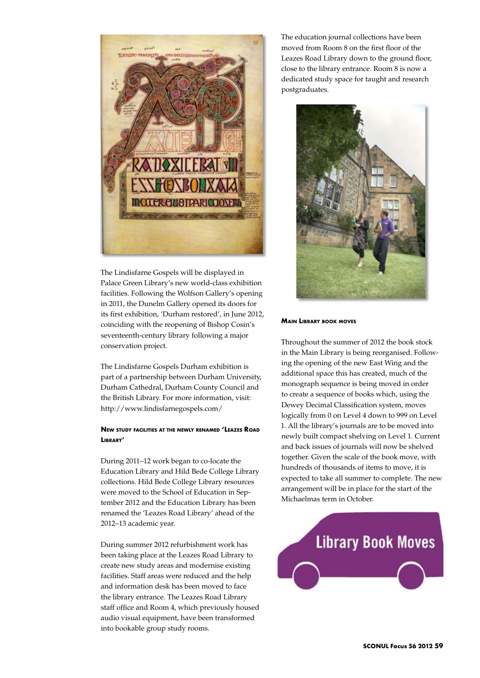

The Lindisfarne Gospels will be displayed in Palace Green Library's new world-class exhibition facilities. Following the Wolfson Gallery's opening in 2011, the Dunelm Gallery opened its doors for its first exhibition, 'Durham restored', in June 2012, coinciding with the reopening of Bishop Cosin's seventeenth-century library following a major conservation project.

The Lindisfarne Gospels Durham exhibition is part of a partnership between Durham University, Durham Cathedral, Durham County Council and the British Library. For more information, visit: http://www.lindisfarnegospels.com/

# **New study facilities at the newly renamed 'Leazes Road Library'**

During 2011–12 work began to co-locate the Education Library and Hild Bede College Library collections. Hild Bede College Library resources were moved to the School of Education in September 2012 and the Education Library has been renamed the 'Leazes Road Library' ahead of the 2012–13 academic year.

During summer 2012 refurbishment work has been taking place at the Leazes Road Library to create new study areas and modernise existing facilities. Staff areas were reduced and the help and information desk has been moved to face the library entrance. The Leazes Road Library staff office and Room 4, which previously housed audio visual equipment, have been transformed into bookable group study rooms.

The education journal collections have been moved from Room 8 on the first floor of the Leazes Road Library down to the ground floor, close to the library entrance. Room 8 is now a dedicated study space for taught and research postgraduates.



## **Main Library book moves**

Throughout the summer of 2012 the book stock in the Main Library is being reorganised. Following the opening of the new East Wing and the additional space this has created, much of the monograph sequence is being moved in order to create a sequence of books which, using the Dewey Decimal Classification system, moves logically from 0 on Level 4 down to 999 on Level 1. All the library's journals are to be moved into newly built compact shelving on Level 1. Current and back issues of journals will now be shelved together. Given the scale of the book move, with hundreds of thousands of items to move, it is expected to take all summer to complete. The new arrangement will be in place for the start of the Michaelmas term in October.

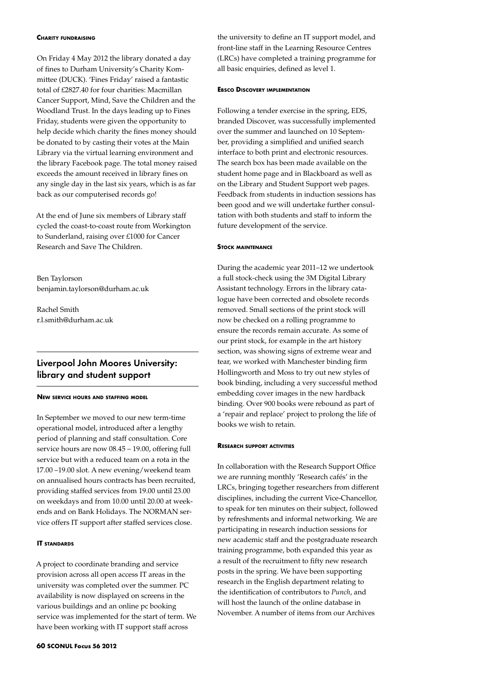#### **Charity fundraising**

On Friday 4 May 2012 the library donated a day of fines to Durham University's Charity Kommittee (DUCK). 'Fines Friday' raised a fantastic total of £2827.40 for four charities: Macmillan Cancer Support, Mind, Save the Children and the Woodland Trust. In the days leading up to Fines Friday, students were given the opportunity to help decide which charity the fines money should be donated to by casting their votes at the Main Library via the virtual learning environment and the library Facebook page. The total money raised exceeds the amount received in library fines on any single day in the last six years, which is as far back as our computerised records go!

At the end of June six members of Library staff cycled the coast-to-coast route from Workington to Sunderland, raising over £1000 for Cancer Research and Save The Children.

Ben Taylorson benjamin.taylorson@durham.ac.uk

Rachel Smith r.l.smith@durham.ac.uk

# Liverpool John Moores University: library and student support

#### **New service hours and staffing model**

In September we moved to our new term-time operational model, introduced after a lengthy period of planning and staff consultation. Core service hours are now 08.45 – 19.00, offering full service but with a reduced team on a rota in the 17.00 –19.00 slot. A new evening/weekend team on annualised hours contracts has been recruited, providing staffed services from 19.00 until 23.00 on weekdays and from 10.00 until 20.00 at weekends and on Bank Holidays. The NORMAN service offers IT support after staffed services close.

## **IT standards**

A project to coordinate branding and service provision across all open access IT areas in the university was completed over the summer. PC availability is now displayed on screens in the various buildings and an online pc booking service was implemented for the start of term. We have been working with IT support staff across

the university to define an IT support model, and front-line staff in the Learning Resource Centres (LRCs) have completed a training programme for all basic enquiries, defined as level 1.

#### **Ebsco Discovery implementation**

Following a tender exercise in the spring, EDS, branded Discover, was successfully implemented over the summer and launched on 10 September, providing a simplified and unified search interface to both print and electronic resources. The search box has been made available on the student home page and in Blackboard as well as on the Library and Student Support web pages. Feedback from students in induction sessions has been good and we will undertake further consultation with both students and staff to inform the future development of the service.

#### **Stock maintenance**

During the academic year 2011–12 we undertook a full stock-check using the 3M Digital Library Assistant technology. Errors in the library catalogue have been corrected and obsolete records removed. Small sections of the print stock will now be checked on a rolling programme to ensure the records remain accurate. As some of our print stock, for example in the art history section, was showing signs of extreme wear and tear, we worked with Manchester binding firm Hollingworth and Moss to try out new styles of book binding, including a very successful method embedding cover images in the new hardback binding. Over 900 books were rebound as part of a 'repair and replace' project to prolong the life of books we wish to retain.

#### **Research support activities**

In collaboration with the Research Support Office we are running monthly 'Research cafés' in the LRCs, bringing together researchers from different disciplines, including the current Vice-Chancellor, to speak for ten minutes on their subject, followed by refreshments and informal networking. We are participating in research induction sessions for new academic staff and the postgraduate research training programme, both expanded this year as a result of the recruitment to fifty new research posts in the spring. We have been supporting research in the English department relating to the identification of contributors to *Punch*, and will host the launch of the online database in November. A number of items from our Archives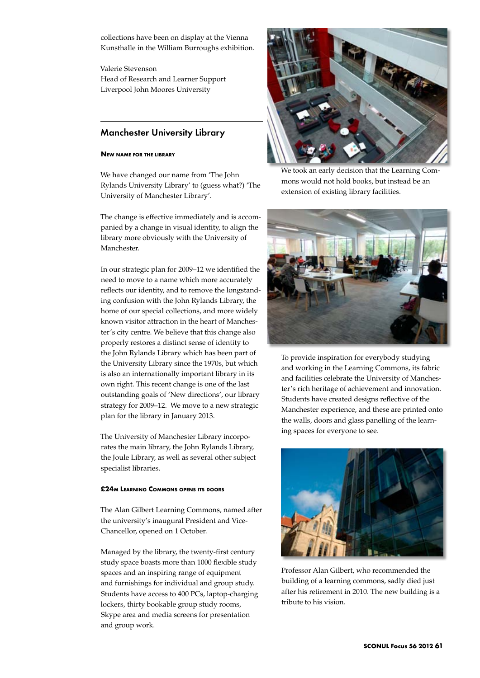collections have been on display at the Vienna Kunsthalle in the William Burroughs exhibition.

Valerie Stevenson Head of Research and Learner Support Liverpool John Moores University

# Manchester University Library

#### **New name for the library**

We have changed our name from 'The John Rylands University Library' to (guess what?) 'The University of Manchester Library'.

The change is effective immediately and is accompanied by a change in visual identity, to align the library more obviously with the University of Manchester.

In our strategic plan for 2009–12 we identified the need to move to a name which more accurately reflects our identity, and to remove the longstanding confusion with the John Rylands Library, the home of our special collections, and more widely known visitor attraction in the heart of Manchester's city centre. We believe that this change also properly restores a distinct sense of identity to the John Rylands Library which has been part of the University Library since the 1970s, but which is also an internationally important library in its own right. This recent change is one of the last outstanding goals of 'New directions', our library strategy for 2009–12. We move to a new strategic plan for the library in January 2013.

The University of Manchester Library incorporates the main library, the John Rylands Library, the Joule Library, as well as several other subject specialist libraries.

# **£24m Learning Commons opens its doors**

The Alan Gilbert Learning Commons, named after the university's inaugural President and Vice-Chancellor, opened on 1 October.

Managed by the library, the twenty-first century study space boasts more than 1000 flexible study spaces and an inspiring range of equipment and furnishings for individual and group study. Students have access to 400 PCs, laptop-charging lockers, thirty bookable group study rooms, Skype area and media screens for presentation and group work.



We took an early decision that the Learning Commons would not hold books, but instead be an extension of existing library facilities.



To provide inspiration for everybody studying and working in the Learning Commons, its fabric and facilities celebrate the University of Manchester's rich heritage of achievement and innovation. Students have created designs reflective of the Manchester experience, and these are printed onto the walls, doors and glass panelling of the learning spaces for everyone to see.



Professor Alan Gilbert, who recommended the building of a learning commons, sadly died just after his retirement in 2010. The new building is a tribute to his vision.